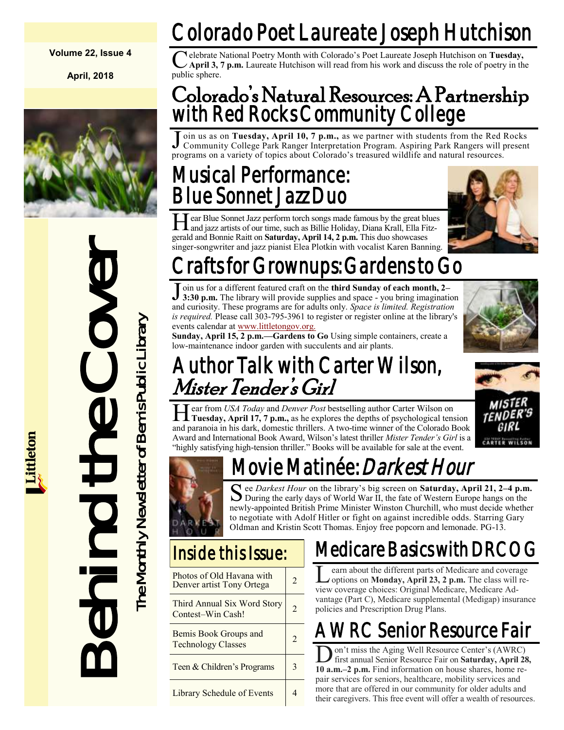#### **Volume 22, Issue 4**

**April, 2018**



Start of Bonnie Rait on Saturd<br>
Singer-songwriter and jazz pianis<br>
Singer-songwriter and jazz pianis<br>
Toin us for a different featured<br>
Insider Chenger and 300-795.<br>
Start of Growniterance indoor grade with<br>
start of Bemis

# Colorado Poet Laureate Joseph Hutchison

Celebrate l<br>
public sphere. elebrate National Poetry Month with Colorado's Poet Laureate Joseph Hutchison on **Tuesday, April 3, 7 p.m.** Laureate Hutchison will read from his work and discuss the role of poetry in the

#### Colorado's Natural Resources: A Partnership with Red Rocks Community College

 $\overline{\text{J}}$ oin us as on **Tuesday, April 10, 7 p.m.,** as we partner with students from the Red Rocks Community College Park Ranger Interpretation Program. Aspiring Park Rangers will present programs on a variety of topics about Colorado's treasured wildlife and natural resources.

### Musical Performance: Blue Sonnet Jazz Duo

Hear Blue Sonnet Jazz perform torch songs made famous by the great blue:<br>and jazz artists of our time, such as Billie Holiday, Diana Krall, Ella Fitzear Blue Sonnet Jazz perform torch songs made famous by the great blues gerald and Bonnie Raitt on **Saturday, April 14, 2 p.m.** This duo showcases singer-songwriter and jazz pianist Elea Plotkin with vocalist Karen Banning.



### Crafts for Grownups: Gardens to Go

Join us for a different featured craft on the **third Sunday of each month, 2–**<br>3:30 p.m. The library will provide supplies and space - you bring imagination oin us for a different featured craft on the **third Sunday of each month, 2–** and curiosity. These programs are for adults only. *Space is limited. Registration is required.* Please call 303-795-3961 to register or register online at the library's events calendar at [www.littletongov.org.](https://www.littletongov.org/city-services/city-departments/bemis-library/library-events-calendar/-selcat-3/-curm-4/-cury-2018)

**Sunday, April 15, 2 p.m.—Gardens to Go** Using simple containers, create a low-maintenance indoor garden with succulents and air plants.

### Author Talk with Carter Wilson, Mister Tender's Girl

**CARTER WILSON** 

Hear from USA Today and Denver Post bestselling author Carter Wilson on Tuesday, April 17, 7 p.m., as he explores the depths of psychological tension ear from *USA Today* and *Denver Post* bestselling author Carter Wilson on and paranoia in his dark, domestic thrillers. A two-time winner of the Colorado Book Award and International Book Award, Wilson's latest thriller *Mister Tender's Girl* is a "highly satisfying high-tension thriller." Books will be available for sale at the event.

# Movie Matinée: *Darkest Hour*

S ee *Darkest Hour* on the library's big screen on **Saturday, April 21, 2–4 p.m**<br>During the early days of World War II, the fate of Western Europe hangs on the ee *Darkest Hour* on the library's big screen on **Saturday, April 21, 2–4 p.m.** newly-appointed British Prime Minister Winston Churchill, who must decide whether to negotiate with Adolf Hitler or fight on against incredible odds. Starring Gary Oldman and Kristin Scott Thomas. Enjoy free popcorn and lemonade. PG-13.

| Photos of Old Havana with<br>Denver artist Tony Ortega | $\mathfrak{D}$ |
|--------------------------------------------------------|----------------|
| Third Annual Six Word Story<br>Contest-Win Cash!       | $\mathfrak{D}$ |
| Bemis Book Groups and<br><b>Technology Classes</b>     | $\mathfrak{D}$ |
| Teen & Children's Programs                             | 3              |
| Library Schedule of Events                             |                |

# Medicare Basics with DR

Learn about the different parts of Medicare and covera<br>
options on **Monday**, April 23, 2 p.m. The class will<br>
view coverage choices: Original Medicare, Medicare Adearn about the different parts of Medicare and coverage options on **Monday, April 23, 2 p.m.** The class will revantage (Part C), Medicare supplemental (Medigap) insurance policies and Prescription Drug Plans.

# AWRC Senior Resource Fair

D first annual Senior Resource Fair on **Saturday, April 28,** on't miss the Aging Well Resource Center's (AWRC) **10 a.m.–2 p.m.** Find information on house shares, home repair services for seniors, healthcare, mobility services and more that are offered in our community for older adults and their caregivers. This free event will offer a wealth of resources.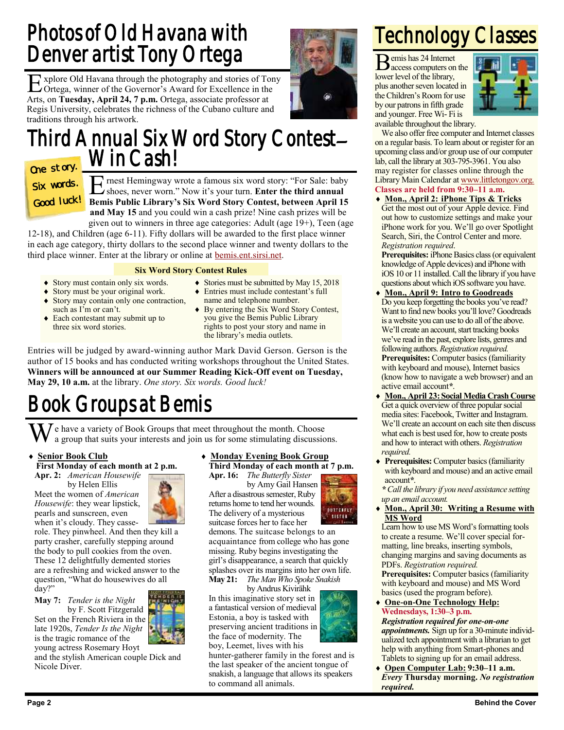### Photos of Old Havana with Denver artist Tony Ortega

E xplore Old Havana through the photography and stories of Tony Ortega, winner of the Governor's Award for Excellence in the Arts, on **Tuesday, April 24, 7 p.m.** Ortega, associate professor at Regis University, celebrates the richness of the Cubano culture and traditions through his artwork.

#### Third Annual Six Word Story Contest– Win Cash!

One story. Six words. Good luck!

E rnest Hemingway wrote a famous six word story: "For Sale: baby shoes, never worn." Now it's your turn. Enter the third annual shoes, never worn." Now it's your turn. **Enter the third annual Bemis Public Library's Six Word Story Contest, between April 15 and May 15** and you could win a cash prize! Nine cash prizes will be

given out to winners in three age categories: Adult (age 19+), Teen (age 12-18), and Children (age 6-11). Fifty dollars will be awarded to the first place winner in each age category, thirty dollars to the second place winner and twenty dollars to the third place winner. Enter at the library or online at [bemis.ent.sirsi.net.](https://bemis.ent.sirsi.net/client/en_US/default/)

#### **Six Word Story Contest Rules**

- Story must contain only six words.
- Story must be your original work.
- Story may contain only one contraction, such as I'm or can't.
- Each contestant may submit up to three six word stories.
- Stories must be submitted by May 15, 2018
- Entries must include contestant's full name and telephone number. By entering the Six Word Story Contest,
- you give the Bemis Public Library rights to post your story and name in the library's media outlets.

Entries will be judged by award-winning author Mark David Gerson. Gerson is the author of 15 books and has conducted writing workshops throughout the United States. **Winners will be announced at our Summer Reading Kick-Off event on Tuesday, May 29, 10 a.m.** at the library. *One story. Six words. Good luck!*

## Book Groups at Bemis

 $\mathbf{W}$  a group that suits your interests and join us for some stimulating discussions.

#### **Senior Book Club**

**First Monday of each month at 2 p.m. Apr. 2:** *American Housewife*

by Helen Ellis

Meet the women of *American Housewife*: they wear lipstick, pearls and sunscreen, even when it's cloudy. They casse-



role. They pinwheel. And then they kill a party crasher, carefully stepping around the body to pull cookies from the oven. These 12 delightfully demented stories are a refreshing and wicked answer to the question, "What do housewives do all day?"

#### **May 7:** *Tender is the Night*

by F. Scott Fitzgerald Set on the French Riviera in the late 1920s, *Tender Is the Night*  is the tragic romance of the young actress Rosemary Hoyt

and the stylish American couple Dick and Nicole Diver.

#### **Monday Evening Book Group**

**Third Monday of each month at 7 p.m. Apr. 16:** *The Butterfly Sister*

by Amy Gail Hansen After a disastrous semester, Ruby returns home to tend her wounds. The delivery of a mysterious suitcase forces her to face her

**BUTFELFLY SISTER** 

demons. The suitcase belongs to an acquaintance from college who has gone missing. Ruby begins investigating the girl's disappearance, a search that quickly splashes over its margins into her own life. **May 21:** *The Man Who Spoke Snakish*

by Andrus Kivirähk In this imaginative story set in a fantastical version of medieval Estonia, a boy is tasked with preserving ancient traditions in

the face of modernity. The boy, Leemet, lives with his hunter-gatherer family in the forest and is

the last speaker of the ancient tongue of snakish, a language that allows its speakers to command all animals.

### Technology Classes

Bemis has 24 Internet access computers on the lower level of the library, plus another seven located in the Children's Room for use by our patrons in fifth grade and younger. Free Wi- Fi is



available throughout the library.

We also offer free computer and Internet classes on a regular basis. To learn about or register for an upcoming class and/or group use of our computer lab, call the library at 303-795-3961. You also may register for classes online through the Library Main Calendar at [www.littletongov.org.](https://www.littletongov.org/city-services/city-departments/bemis-library/library-events-calendar/-selcat-157/-curm-4/-cury-2018) **Classes are held from 9:30–11 a.m.**

 **Mon., April 2: iPhone Tips & Tricks** Get the most out of your Apple device. Find out how to customize settings and make your iPhone work for you. We'll go over Spotlight Search, Siri, the Control Center and more. *Registration required*.

**Prerequisites:** iPhone Basics class (or equivalent knowledge of Apple devices) and iPhone with iOS 10 or 11 installed. Call the library if you have questions about which iOS software you have.

- **Mon., April 9: Intro to Goodreads** Do you keep forgetting the books you've read? Want to find new books you'll love? Goodreads is a website you can use to do all of the above. We'll create an account, start tracking books we've read in the past, explore lists, genres and following authors. *Registration required.* **Prerequisites:** Computer basics (familiarity with keyboard and mouse), Internet basics (know how to navigate a web browser) and an active email account*\**.
- **Mon., April 23:Social Media Crash Course** Get a quick overview of three popular social media sites: Facebook, Twitter and Instagram. We'll create an account on each site then discuss what each is best used for, how to create posts and how to interact with others. *Registration required.*
- **Prerequisites:** Computer basics (familiarity with keyboard and mouse) and an active email account*\**.

*\* Call the library if you need assistance setting up an email account.*

 **Mon., April 30: Writing a Resume with MS Word**

Learn how to use MS Word's formatting tools to create a resume. We'll cover special formatting, line breaks, inserting symbols, changing margins and saving documents as PDFs. *Registration required.*

**Prerequisites:** Computer basics (familiarity with keyboard and mouse) and MS Word basics (used the program before).

 **One-on-One Technology Help: Wednesdays, 1:30–3 p.m.**

*Registration required for one-on-one appointments.* Sign up for a 30-minute individualized tech appointment with a librarian to get help with anything from Smart-phones and Tablets to signing up for an email address.

 **Open Computer Lab: 9:30–11 a.m.** *Every* **Thursday morning.** *No registration required.*

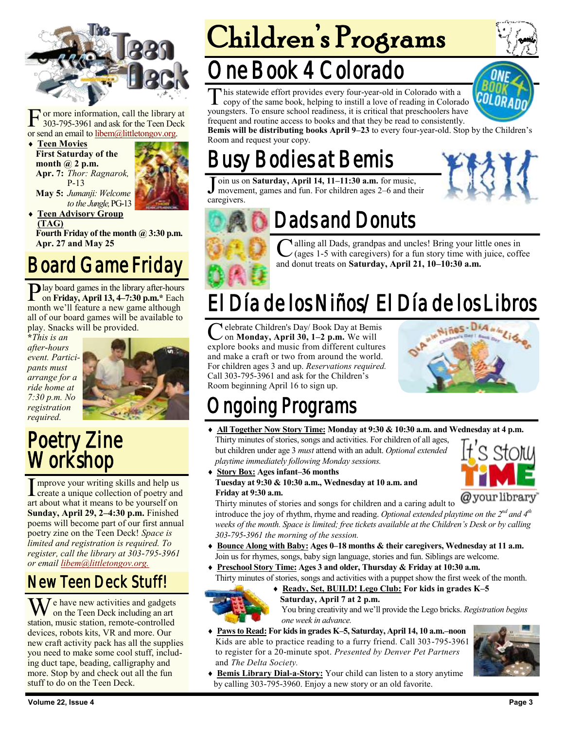

F or more information, call the library at 303-795-3961 and ask for the Teen Deck or send an email to [libem@littletongov.org.](mailto:libem@littletongov.org.)

 **Teen Movies First Saturday of the month @ 2 p.m. Apr. 7:** *Thor: Ragnarok,* P-13



**May 5:** *Jumanji: Welcome to the Jungle,* PG-13 **Teen Advisory Group** 

**(TAG) Fourth Friday of the month @ 3:30 p.m. Apr. 27 and May 25**

### Board Game Friday

Play board games in the library after-hours<br>on Friday, April 13, 4–7:30 p.m.\* Each on **Friday, April 13, 4–7:30 p.m.\*** Each month we'll feature a new game although all of our board games will be available to play. Snacks will be provided.

**\****This is an after-hours event. Participants must arrange for a ride home at 7:30 p.m. No registration required.*



#### Poetry Zine Workshop

I mprove your writing skills and help us<br>create a unique collection of poetry and **I** mprove your writing skills and help us art about what it means to be yourself on **Sunday, April 29, 2–4:30 p.m.** Finished poems will become part of our first annual poetry zine on the Teen Deck! *Space is limited and registration is required. To register, call the library at 303-795-3961 or email [libem@littletongov.org.](mailto:libem@littletongov.org.)*

#### New Teen Deck Stuff!

 $\overline{I}$  e have new activities and gadgets on the Teen Deck including an art station, music station, remote-controlled devices, robots kits, VR and more. Our new craft activity pack has all the supplies you need to make some cool stuff, including duct tape, beading, calligraphy and more. Stop by and check out all the fun stuff to do on the Teen Deck.

# Children's Programs

# ne Book 4 Colorado

T his statewide effort provides every four-year-old in Colorado with a copy of the same book, helping to instill a love of reading in Colorado youngsters. To ensure school readiness, it is critical that preschoolers have frequent and routine access to books and that they be read to consistently.



**Bemis will be distributing books April 9–23** to every four-year-old. Stop by the Children's Room and request your copy.

# **Bodies at Bemis**

J oin us on **Saturday, April 14, 11–11:30 a.m.** for music, movement, games and fun. For children ages 2–6 and their caregivers.





## Dads and Donuts

C alling all Dads, grandpas and uncles! Bring your lit (ages 1-5 with caregivers) for a fun story time with and donut treats on **Saturday, April 21, 10–10:30 a.m.** alling all Dads, grandpas and uncles! Bring your little ones in  $\angle$  (ages 1-5 with caregivers) for a fun story time with juice, coffee

# El Día de los Niños/El Día de los Libros

C elebrate Children's Day/ Book Day at Bemis<br>
on Monday, April 30, 1–2 p.m. We will<br>
explore books and music from different cultures elebrate Children's Day/ Book Day at Bemis on **Monday, April 30, 1–2 p.m.** We will and make a craft or two from around the world. For children ages 3 and up. *Reservations required.*  Call 303-795-3961 and ask for the Children's Room beginning April 16 to sign up.



# ngoing Programs

- **All Together Now Story Time: Monday at 9:30 & 10:30 a.m. and Wednesday at 4 p.m.** Thirty minutes of stories, songs and activities. For children of all ages, but children under age 3 *must* attend with an adult. *Optional extended playtime immediately following Monday sessions.*
- **Story Box: Ages infant–36 months Tuesday at 9:30 & 10:30 a.m., Wednesday at 10 a.m. and Friday at 9:30 a.m.**



Thirty minutes of stories and songs for children and a caring adult to introduce the joy of rhythm, rhyme and reading. Optional extended playtime on the 2<sup>nd</sup> and 4<sup>th</sup> *weeks of the month. Space is limited; free tickets available at the Children's Desk or by calling 303-795-3961 the morning of the session.*

- **Bounce Along with Baby: Ages 0–18 months & their caregivers, Wednesday at 11 a.m.** Join us for rhymes, songs, baby sign language, stories and fun. Siblings are welcome.
- **Preschool Story Time: Ages 3 and older, Thursday & Friday at 10:30 a.m.** Thirty minutes of stories, songs and activities with a puppet show the first week of the month.
	- **Ready, Set, BUILD! Lego Club: For kids in grades K–5**



- **Saturday, April 7 at 2 p.m.** You bring creativity and we'll provide the Lego bricks. *Registration begins one week in advance.*
- **Paws to Read: For kids in grades K–5, Saturday, April 14, 10 a.m.–noon** Kids are able to practice reading to a furry friend. Call 303-795-3961 to register for a 20-minute spot. *Presented by Denver Pet Partners*  and *The Delta Society.*



 **Bemis Library Dial-a-Story:** Your child can listen to a story anytime by calling 303-795-3960. Enjoy a new story or an old favorite.